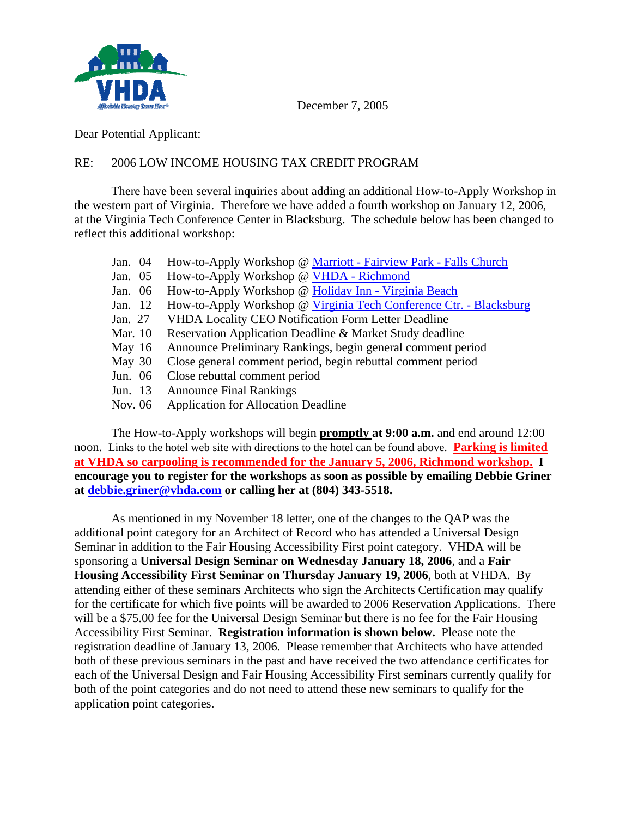

December 7, 2005

Dear Potential Applicant:

### RE: 2006 LOW INCOME HOUSING TAX CREDIT PROGRAM

 There have been several inquiries about adding an additional How-to-Apply Workshop in the western part of Virginia. Therefore we have added a fourth workshop on January 12, 2006, at the Virginia Tech Conference Center in Blacksburg. The schedule below has been changed to reflect this additional workshop:

- Jan. 04 How-to-Apply Workshop @ Marriott Fairview Park Falls Church
- Jan. 05 How-to-Apply Workshop @ VHDA Richmond
- Jan. 06 How-to-Apply Workshop @ Holiday Inn Virginia Beach
- Jan. 12 How-to-Apply Workshop @ Virginia Tech Conference Ctr. Blacksburg
- Jan. 27 VHDA Locality CEO Notification Form Letter Deadline
- Mar. 10 Reservation Application Deadline & Market Study deadline
- May 16 Announce Preliminary Rankings, begin general comment period
- May 30 Close general comment period, begin rebuttal comment period
- Jun. 06 Close rebuttal comment period
- Jun. 13 Announce Final Rankings
- Nov. 06 Application for Allocation Deadline

 The How-to-Apply workshops will begin **promptly at 9:00 a.m.** and end around 12:00 noon. Links to the hotel web site with directions to the hotel can be found above. **Parking is limited at VHDA so carpooling is recommended for the January 5, 2006, Richmond workshop. I encourage you to register for the workshops as soon as possible by emailing Debbie Griner at debbie.griner@vhda.com or calling her at (804) 343-5518.** 

 As mentioned in my November 18 letter, one of the changes to the QAP was the additional point category for an Architect of Record who has attended a Universal Design Seminar in addition to the Fair Housing Accessibility First point category. VHDA will be sponsoring a **Universal Design Seminar on Wednesday January 18, 2006**, and a **Fair Housing Accessibility First Seminar on Thursday January 19, 2006**, both at VHDA. By attending either of these seminars Architects who sign the Architects Certification may qualify for the certificate for which five points will be awarded to 2006 Reservation Applications. There will be a \$75.00 fee for the Universal Design Seminar but there is no fee for the Fair Housing Accessibility First Seminar. **Registration information is shown below.** Please note the registration deadline of January 13, 2006. Please remember that Architects who have attended both of these previous seminars in the past and have received the two attendance certificates for each of the Universal Design and Fair Housing Accessibility First seminars currently qualify for both of the point categories and do not need to attend these new seminars to qualify for the application point categories.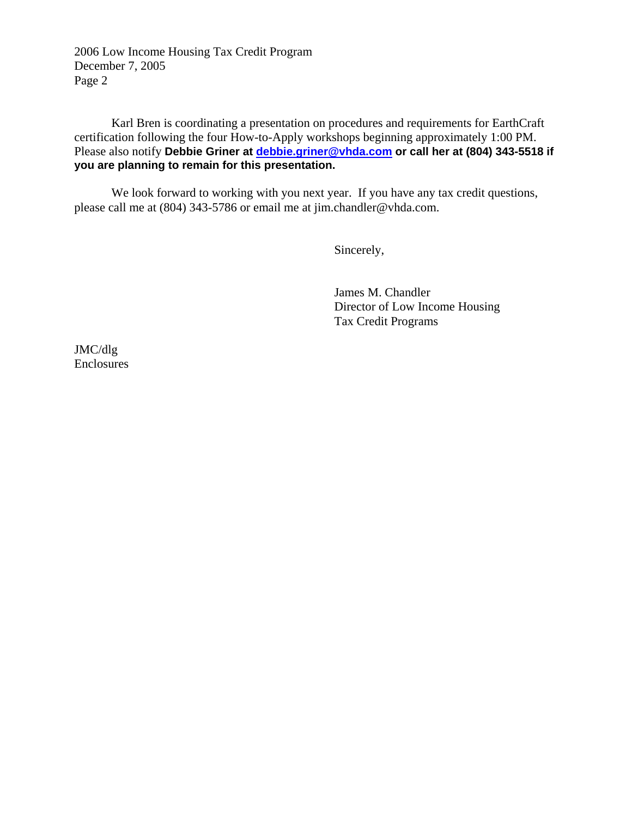2006 Low Income Housing Tax Credit Program December 7, 2005 Page 2

 Karl Bren is coordinating a presentation on procedures and requirements for EarthCraft certification following the four How-to-Apply workshops beginning approximately 1:00 PM. Please also notify Debbie Griner at **debbie.griner@vhda.com** or call her at (804) 343-5518 if **you are planning to remain for this presentation.**

 We look forward to working with you next year. If you have any tax credit questions, please call me at (804) 343-5786 or email me at jim.chandler@vhda.com.

Sincerely,

 James M. Chandler Director of Low Income Housing Tax Credit Programs

JMC/dlg Enclosures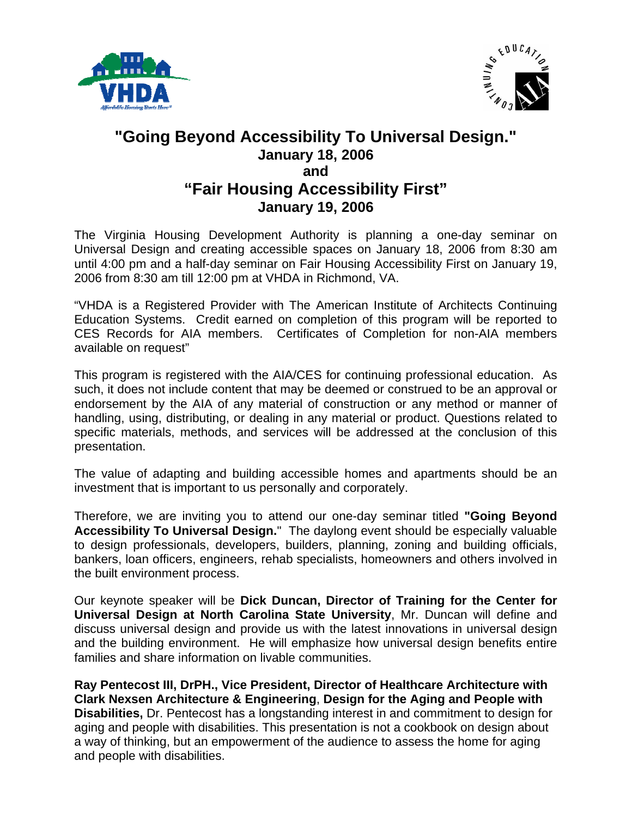



# **"Going Beyond Accessibility To Universal Design." January 18, 2006 and "Fair Housing Accessibility First" January 19, 2006**

The Virginia Housing Development Authority is planning a one-day seminar on Universal Design and creating accessible spaces on January 18, 2006 from 8:30 am until 4:00 pm and a half-day seminar on Fair Housing Accessibility First on January 19, 2006 from 8:30 am till 12:00 pm at VHDA in Richmond, VA.

"VHDA is a Registered Provider with The American Institute of Architects Continuing Education Systems. Credit earned on completion of this program will be reported to CES Records for AIA members. Certificates of Completion for non-AIA members available on request"

This program is registered with the AIA/CES for continuing professional education. As such, it does not include content that may be deemed or construed to be an approval or endorsement by the AIA of any material of construction or any method or manner of handling, using, distributing, or dealing in any material or product. Questions related to specific materials, methods, and services will be addressed at the conclusion of this presentation.

The value of adapting and building accessible homes and apartments should be an investment that is important to us personally and corporately.

Therefore, we are inviting you to attend our one-day seminar titled **"Going Beyond Accessibility To Universal Design.**" The daylong event should be especially valuable to design professionals, developers, builders, planning, zoning and building officials, bankers, loan officers, engineers, rehab specialists, homeowners and others involved in the built environment process.

Our keynote speaker will be **Dick Duncan, Director of Training for the Center for Universal Design at North Carolina State University**, Mr. Duncan will define and discuss universal design and provide us with the latest innovations in universal design and the building environment. He will emphasize how universal design benefits entire families and share information on livable communities.

**Ray Pentecost III, DrPH., Vice President, Director of Healthcare Architecture with Clark Nexsen Architecture & Engineering**, **Design for the Aging and People with Disabilities,** Dr. Pentecost has a longstanding interest in and commitment to design for aging and people with disabilities. This presentation is not a cookbook on design about a way of thinking, but an empowerment of the audience to assess the home for aging and people with disabilities.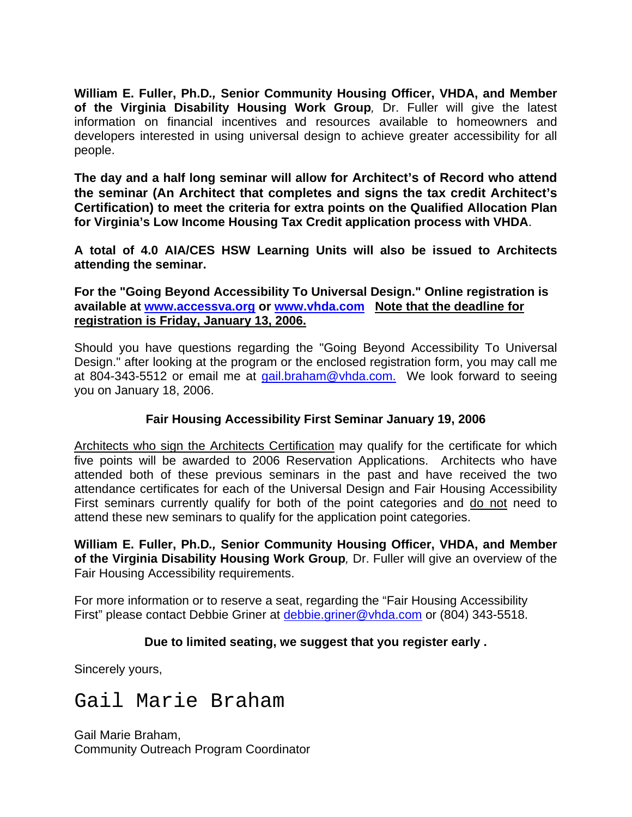**William E. Fuller, Ph.D***.,* **Senior Community Housing Officer, VHDA, and Member of the Virginia Disability Housing Work Group***,* Dr. Fuller will give the latest information on financial incentives and resources available to homeowners and developers interested in using universal design to achieve greater accessibility for all people.

**The day and a half long seminar will allow for Architect's of Record who attend the seminar (An Architect that completes and signs the tax credit Architect's Certification) to meet the criteria for extra points on the Qualified Allocation Plan for Virginia's Low Income Housing Tax Credit application process with VHDA**.

**A total of 4.0 AIA/CES HSW Learning Units will also be issued to Architects attending the seminar.** 

**For the "Going Beyond Accessibility To Universal Design." Online registration is available at www.accessva.org or www.vhda.com Note that the deadline for registration is Friday, January 13, 2006.** 

Should you have questions regarding the "Going Beyond Accessibility To Universal Design." after looking at the program or the enclosed registration form, you may call me at 804-343-5512 or email me at gail.braham@vhda.com. We look forward to seeing you on January 18, 2006.

## **Fair Housing Accessibility First Seminar January 19, 2006**

Architects who sign the Architects Certification may qualify for the certificate for which five points will be awarded to 2006 Reservation Applications. Architects who have attended both of these previous seminars in the past and have received the two attendance certificates for each of the Universal Design and Fair Housing Accessibility First seminars currently qualify for both of the point categories and do not need to attend these new seminars to qualify for the application point categories.

**William E. Fuller, Ph.D***.,* **Senior Community Housing Officer, VHDA, and Member of the Virginia Disability Housing Work Group***,* Dr. Fuller will give an overview of the Fair Housing Accessibility requirements.

For more information or to reserve a seat, regarding the "Fair Housing Accessibility First" please contact Debbie Griner at debbie.griner@vhda.com or (804) 343-5518.

### **Due to limited seating, we suggest that you register early .**

Sincerely yours,

# Gail Marie Braham

Gail Marie Braham, Community Outreach Program Coordinator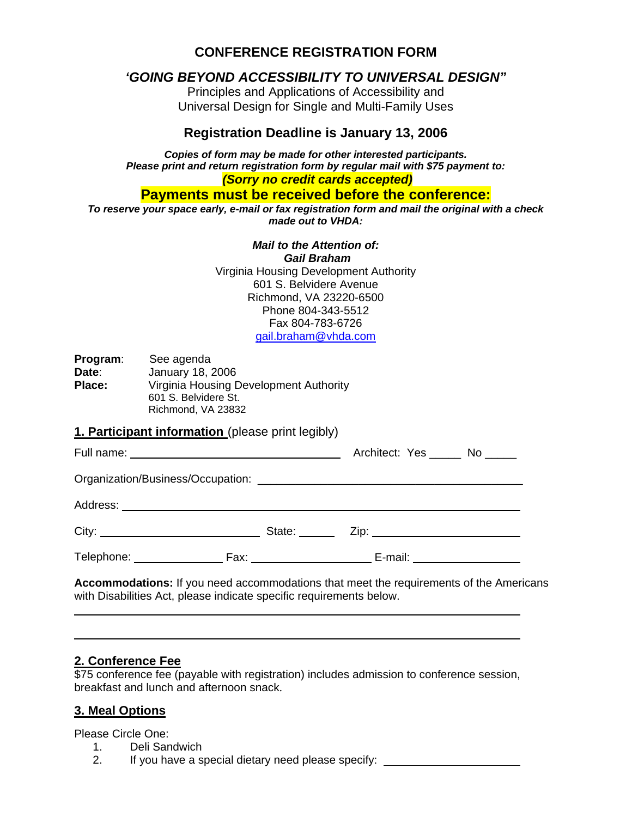## **CONFERENCE REGISTRATION FORM**

## *'GOING BEYOND ACCESSIBILITY TO UNIVERSAL DESIGN"*

Principles and Applications of Accessibility and Universal Design for Single and Multi-Family Uses

### **Registration Deadline is January 13, 2006**

*Copies of form may be made for other interested participants. Please print and return registration form by regular mail with \$75 payment to: (Sorry no credit cards accepted)* 

**Payments must be received before the conference:** 

*To reserve your space early, e-mail or fax registration form and mail the original with a check made out to VHDA:* 

*Mail to the Attention of:* 

 *Gail Braham* Virginia Housing Development Authority 601 S. Belvidere Avenue Richmond, VA 23220-6500 Phone 804-343-5512 Fax 804-783-6726 gail.braham@vhda.com

**Program**: See agenda **Date**: January 18, 2006 **Place:** Virginia Housing Development Authority 601 S. Belvidere St. Richmond, VA 23832

#### **1. Participant information** (please print legibly)

|                                    |                                                                 | Architect: Yes _______ No ______ |                           |
|------------------------------------|-----------------------------------------------------------------|----------------------------------|---------------------------|
|                                    |                                                                 |                                  |                           |
|                                    |                                                                 |                                  |                           |
|                                    |                                                                 |                                  |                           |
| Telephone: <u>________________</u> | $\mathsf{Fax:}\qquad \qquad \qquad \qquad \qquad \qquad \qquad$ |                                  | E-mail: _________________ |

**Accommodations:** If you need accommodations that meet the requirements of the Americans with Disabilities Act, please indicate specific requirements below.

## **2. Conference Fee**

\$75 conference fee (payable with registration) includes admission to conference session, breakfast and lunch and afternoon snack.

## **3. Meal Options**

Please Circle One:

- 1. Deli Sandwich
- 2. If you have a special dietary need please specify: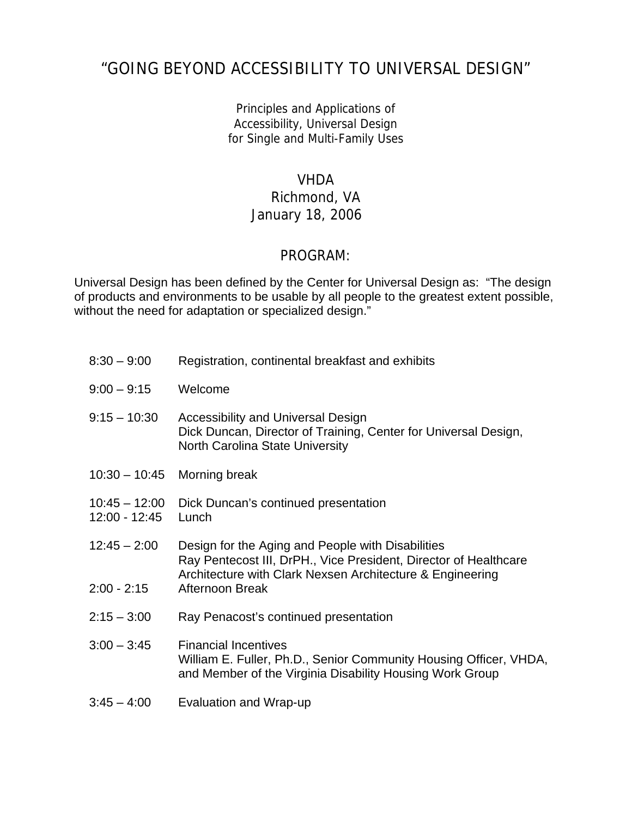# "GOING BEYOND ACCESSIBILITY TO UNIVERSAL DESIGN"

Principles and Applications of Accessibility, Universal Design for Single and Multi-Family Uses

## VHDA

# Richmond, VA January 18, 2006

## PROGRAM:

Universal Design has been defined by the Center for Universal Design as: "The design of products and environments to be usable by all people to the greatest extent possible, without the need for adaptation or specialized design."

| $8:30 - 9:00$                    | Registration, continental breakfast and exhibits                                                                                                                                   |
|----------------------------------|------------------------------------------------------------------------------------------------------------------------------------------------------------------------------------|
| $9:00 - 9:15$                    | Welcome                                                                                                                                                                            |
| $9:15 - 10:30$                   | <b>Accessibility and Universal Design</b><br>Dick Duncan, Director of Training, Center for Universal Design,<br><b>North Carolina State University</b>                             |
| $10:30 - 10:45$                  | Morning break                                                                                                                                                                      |
| $10:45 - 12:00$<br>12:00 - 12:45 | Dick Duncan's continued presentation<br>Lunch                                                                                                                                      |
| $12:45 - 2:00$                   | Design for the Aging and People with Disabilities<br>Ray Pentecost III, DrPH., Vice President, Director of Healthcare<br>Architecture with Clark Nexsen Architecture & Engineering |
| $2:00 - 2:15$                    | Afternoon Break                                                                                                                                                                    |
| $2:15 - 3:00$                    | Ray Penacost's continued presentation                                                                                                                                              |
| $3:00 - 3:45$                    | <b>Financial Incentives</b><br>William E. Fuller, Ph.D., Senior Community Housing Officer, VHDA,<br>and Member of the Virginia Disability Housing Work Group                       |
| $3:45 - 4:00$                    | Evaluation and Wrap-up                                                                                                                                                             |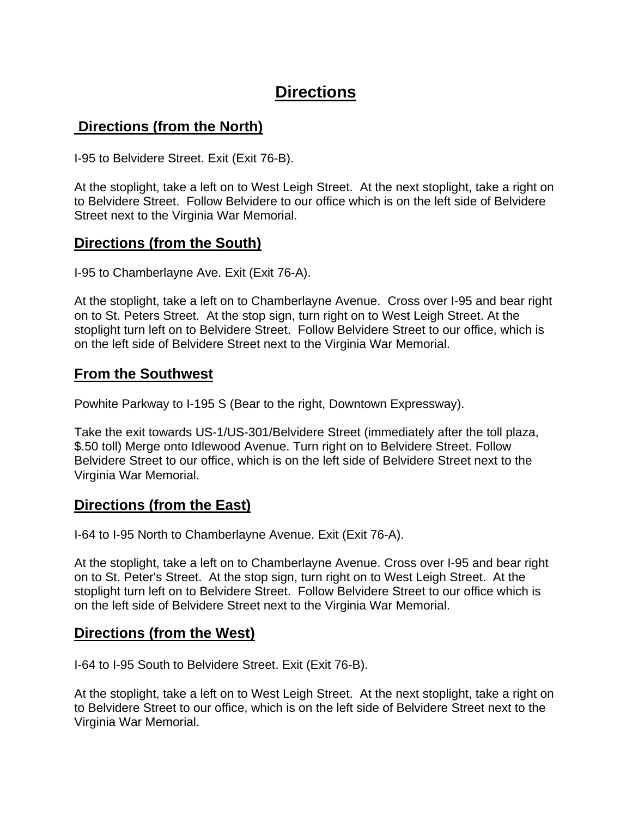# **Directions**

# **Directions (from the North)**

I-95 to Belvidere Street. Exit (Exit 76-B).

At the stoplight, take a left on to West Leigh Street. At the next stoplight, take a right on to Belvidere Street. Follow Belvidere to our office which is on the left side of Belvidere Street next to the Virginia War Memorial.

## **Directions (from the South)**

I-95 to Chamberlayne Ave. Exit (Exit 76-A).

At the stoplight, take a left on to Chamberlayne Avenue. Cross over I-95 and bear right on to St. Peters Street. At the stop sign, turn right on to West Leigh Street. At the stoplight turn left on to Belvidere Street. Follow Belvidere Street to our office, which is on the left side of Belvidere Street next to the Virginia War Memorial.

## **From the Southwest**

Powhite Parkway to I-195 S (Bear to the right, Downtown Expressway).

Take the exit towards US-1/US-301/Belvidere Street (immediately after the toll plaza, \$.50 toll) Merge onto Idlewood Avenue. Turn right on to Belvidere Street. Follow Belvidere Street to our office, which is on the left side of Belvidere Street next to the Virginia War Memorial.

## **Directions (from the East)**

I-64 to I-95 North to Chamberlayne Avenue. Exit (Exit 76-A).

At the stoplight, take a left on to Chamberlayne Avenue. Cross over I-95 and bear right on to St. Peter's Street. At the stop sign, turn right on to West Leigh Street. At the stoplight turn left on to Belvidere Street. Follow Belvidere Street to our office which is on the left side of Belvidere Street next to the Virginia War Memorial.

## **Directions (from the West)**

I-64 to I-95 South to Belvidere Street. Exit (Exit 76-B).

At the stoplight, take a left on to West Leigh Street. At the next stoplight, take a right on to Belvidere Street to our office, which is on the left side of Belvidere Street next to the Virginia War Memorial.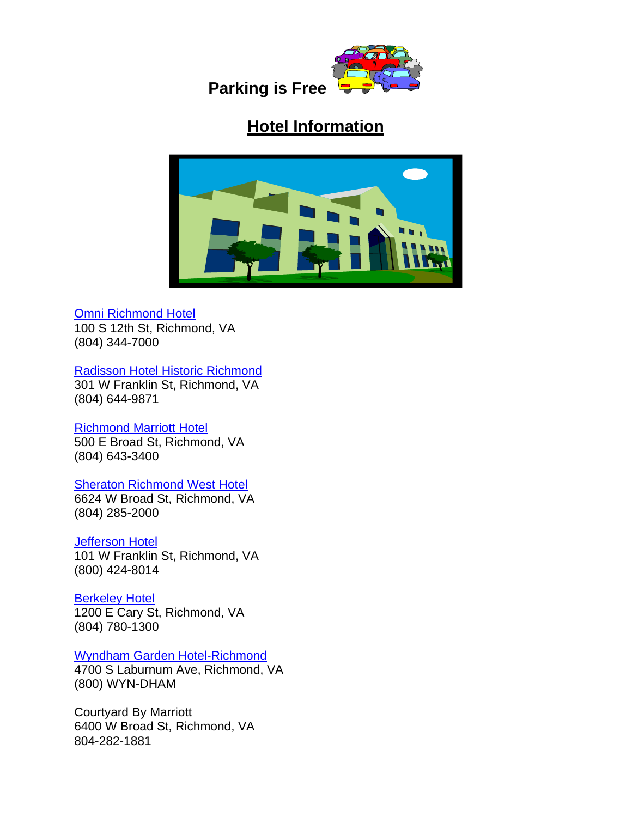

**Parking is Free** 

# **Hotel Information**



#### Omni Richmond Hotel

100 S 12th St, Richmond, VA (804) 344-7000

Radisson Hotel Historic Richmond 301 W Franklin St, Richmond, VA (804) 644-9871

### Richmond Marriott Hotel

500 E Broad St, Richmond, VA (804) 643-3400

### **Sheraton Richmond West Hotel**

6624 W Broad St, Richmond, VA (804) 285-2000

### **Jefferson Hotel**

101 W Franklin St, Richmond, VA (800) 424-8014

### **Berkeley Hotel**

1200 E Cary St, Richmond, VA (804) 780-1300

### Wyndham Garden Hotel-Richmond

4700 S Laburnum Ave, Richmond, VA (800) WYN-DHAM

Courtyard By Marriott 6400 W Broad St, Richmond, VA 804-282-1881